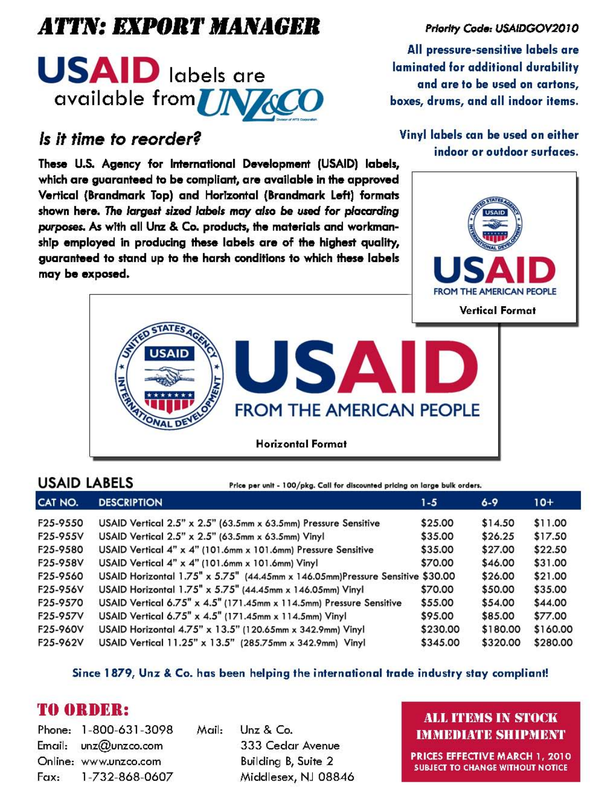# ATTN: EXPORT MANAGER



## *Is it time* to *reorder?*

These U.S. Agency for International Development (USAID) labels, which are guaranteed to be compliant, are available in the approved Vertical (Brandmark Top) and Horizontal (Brandmark Left) formats shown here. The largeri *sized labels* may *also* be wed *for* placarding purposes. As with all Unz & Co. products, the materials and workmanship employed in producing these labels are of the highest quality, guaranteed to stand up to the harsh conditions to which these labels may be exposed.

### Priority Code: USAIDGOV2010

All pressure-sensitive labels are laminated for additional durability and are to be used on cartons, boxes, drums, and all indoor items.

### Vinyl labels can be used on either indoor or outdoor surfaces.





USAID LABELS Frice per unit - 100/pkg. Call for discounted pricing on large bulk orders.

| CAT NO.  | <b>DESCRIPTION</b>                                                            | $1 - 5$  | $6 - 9$  | $10+$    |
|----------|-------------------------------------------------------------------------------|----------|----------|----------|
| F25-9550 | USAID Vertical 2.5" x 2.5" (63.5mm x 63.5mm) Pressure Sensitive               | \$25.00  | \$14.50  | \$11.00  |
| F25-955V | USAID Vertical 2.5" x 2.5" (63.5mm x 63.5mm) Vinyl                            | \$35.00  | \$26.25  | \$17.50  |
| F25-9580 | USAID Vertical 4" x 4" (101.6mm x 101.6mm) Pressure Sensitive                 | \$35.00  | \$27.00  | \$22.50  |
| F25-958V | USAID Vertical 4" x 4" (101.6mm x 101.6mm) Vinyl                              | \$70.00  | \$46.00  | \$31.00  |
| F25-9560 | USAID Horizontal 1.75" x 5.75" (44.45mm x 146.05mm)Pressure Sensitive \$30.00 |          | \$26.00  | \$21.00  |
| F25-956V | USAID Horizontal 1.75" x 5.75" (44.45mm x 146.05mm) Vinyl                     | \$70.00  | \$50.00  | \$35.00  |
| F25-9570 | USAID Vertical 6.75" x 4.5" (171.45mm x 114.5mm) Pressure Sensitive           | \$55.00  | \$54.00  | \$44.00  |
| F25-957V | USAID Vertical 6.75" x 4.5" (171.45mm x 114.5mm) Vinyl                        | \$95.00  | \$85.00  | \$77.00  |
| F25-960V | USAID Horizontal 4.75" x 13.5" (120.65mm x 342.9mm) Vinyl                     | \$230.00 | \$180.00 | \$160.00 |
| F25-962V | USAID Vertical 11.25" x 13.5" (285.75mm x 342.9mm) Vinyl                      | \$345.00 | \$320.00 | \$280.00 |

Since 1879, Unz & Co\_ has been helping the international trade industry stay compliant!

## 'fO ORDER:

Phone: 1-800-631-3098 Email: unz@unzco.com Online: www.unzco.com Fax: 1-732-868-0607 Mail: Unz & *Co.*  333 Cedar Avenue Building B, Suite 2 Middlesex, NJ 08846

### ALL ITEMS IN STOCK IMMEDIATE SHIPMENT

PRICES EFFECTIVE MARCH 1, 2010 SUBJECT TO CHANGE WITHOUT NOTICE